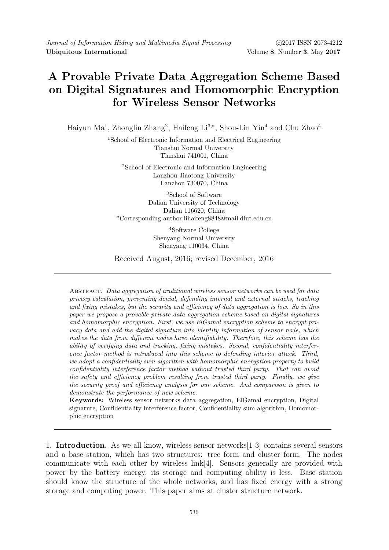## A Provable Private Data Aggregation Scheme Based on Digital Signatures and Homomorphic Encryption for Wireless Sensor Networks

Haiyun Ma<sup>1</sup>, Zhonglin Zhang<sup>2</sup>, Haifeng Li<sup>3,\*</sup>, Shou-Lin Yin<sup>4</sup> and Chu Zhao<sup>4</sup>

<sup>1</sup>School of Electronic Information and Electrical Engineering Tianshui Normal University Tianshui 741001, China

<sup>2</sup>School of Electronic and Information Engineering Lanzhou Jiaotong University Lanzhou 730070, China

<sup>3</sup>School of Software Dalian University of Technology Dalian 116620, China \*Corresponding author:lihaifeng8848@mail.dlut.edu.cn

> <sup>4</sup>Software College Shenyang Normal University Shenyang 110034, China

Received August, 2016; revised December, 2016

Abstract. Data aggregation of traditional wireless sensor networks can be used for data privacy calculation, preventing denial, defending internal and external attacks, tracking and fixing mistakes, but the security and efficiency of data aggregation is low. So in this paper we propose a provable private data aggregation scheme based on digital signatures and homomorphic encryption. First, we use ElGamal encryption scheme to encrypt privacy data and add the digital signature into identity information of sensor node, which makes the data from different nodes have identifiability. Therefore, this scheme has the ability of verifying data and tracking, fixing mistakes. Second, confidentiality interference factor method is introduced into this scheme to defending interior attack. Third, we adopt a confidentiality sum algorithm with homomorphic encryption property to build confidentiality interference factor method without trusted third party. That can avoid the safety and efficiency problem resulting from trusted third party. Finally, we give the security proof and efficiency analysis for our scheme. And comparison is given to demonstrate the performance of new scheme.

Keywords: Wireless sensor networks data aggregation, ElGamal encryption, Digital signature, Confidentiality interference factor, Confidentiality sum algorithm, Homomorphic encryption

1. Introduction. As we all know, wireless sensor networks[1-3] contains several sensors and a base station, which has two structures: tree form and cluster form. The nodes communicate with each other by wireless link[4]. Sensors generally are provided with power by the battery energy, its storage and computing ability is less. Base station should know the structure of the whole networks, and has fixed energy with a strong storage and computing power. This paper aims at cluster structure network.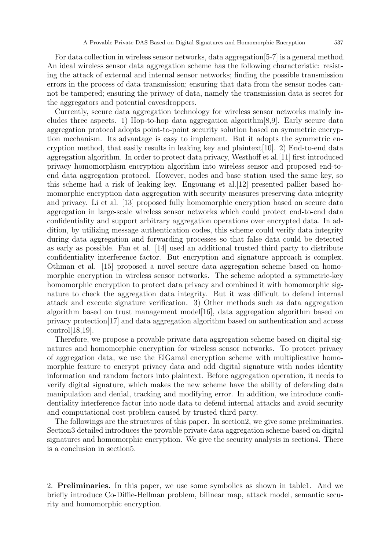For data collection in wireless sensor networks, data aggregation[5-7] is a general method. An ideal wireless sensor data aggregation scheme has the following characteristic: resisting the attack of external and internal sensor networks; finding the possible transmission errors in the process of data transmission; ensuring that data from the sensor nodes cannot be tampered; ensuring the privacy of data, namely the transmission data is secret for the aggregators and potential eavesdroppers.

Currently, secure data aggregation technology for wireless sensor networks mainly includes three aspects. 1) Hop-to-hop data aggregation algorithm[8,9]. Early secure data aggregation protocol adopts point-to-point security solution based on symmetric encryption mechanism. Its advantage is easy to implement. But it adopts the symmetric encryption method, that easily results in leaking key and plaintext[10]. 2) End-to-end data aggregation algorithm. In order to protect data privacy, Westhoff et al.[11] first introduced privacy homomorphism encryption algorithm into wireless sensor and proposed end-toend data aggregation protocol. However, nodes and base station used the same key, so this scheme had a risk of leaking key. Engouang et al.[12] presented pallier based homomorphic encryption data aggregation with security measures preserving data integrity and privacy. Li et al. [13] proposed fully homomorphic encryption based on secure data aggregation in large-scale wireless sensor networks which could protect end-to-end data confidentiality and support arbitrary aggregation operations over encrypted data. In addition, by utilizing message authentication codes, this scheme could verify data integrity during data aggregation and forwarding processes so that false data could be detected as early as possible. Fan et al. [14] used an additional trusted third party to distribute confidentiality interference factor. But encryption and signature approach is complex. Othman et al. [15] proposed a novel secure data aggregation scheme based on homomorphic encryption in wireless sensor networks. The scheme adopted a symmetric-key homomorphic encryption to protect data privacy and combined it with homomorphic signature to check the aggregation data integrity. But it was difficult to defend internal attack and execute signature verification. 3) Other methods such as data aggregation algorithm based on trust management model[16], data aggregation algorithm based on privacy protection[17] and data aggregation algorithm based on authentication and access control[18,19].

Therefore, we propose a provable private data aggregation scheme based on digital signatures and homomorphic encryption for wireless sensor networks. To protect privacy of aggregation data, we use the ElGamal encryption scheme with multiplicative homomorphic feature to encrypt privacy data and add digital signature with nodes identity information and random factors into plaintext. Before aggregation operation, it needs to verify digital signature, which makes the new scheme have the ability of defending data manipulation and denial, tracking and modifying error. In addition, we introduce confidentiality interference factor into node data to defend internal attacks and avoid security and computational cost problem caused by trusted third party.

The followings are the structures of this paper. In section2, we give some preliminaries. Section3 detailed introduces the provable private data aggregation scheme based on digital signatures and homomorphic encryption. We give the security analysis in section4. There is a conclusion in section5.

2. Preliminaries. In this paper, we use some symbolics as shown in table1. And we briefly introduce Co-Diffie-Hellman problem, bilinear map, attack model, semantic security and homomorphic encryption.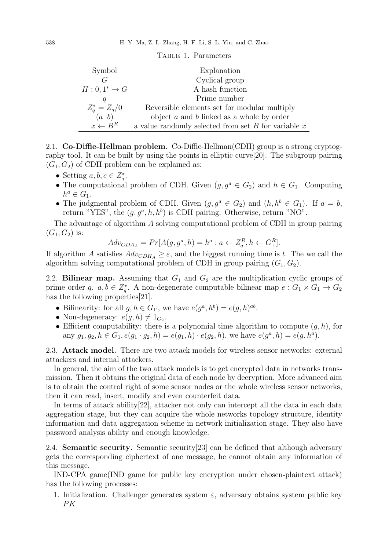| Symbol                 | Explanation                                             |  |  |  |  |
|------------------------|---------------------------------------------------------|--|--|--|--|
| G                      | Cyclical group                                          |  |  |  |  |
| $H:0,1^*\rightarrow G$ | A hash function                                         |  |  |  |  |
| Ч                      | Prime number                                            |  |  |  |  |
| $Z_q^* = Z_q/0$        | Reversible elements set for modular multiply            |  |  |  |  |
| (a  b)                 | object $a$ and $b$ linked as a whole by order           |  |  |  |  |
| $x \leftarrow B^R$     | a value randomly selected from set $B$ for variable $x$ |  |  |  |  |

TABLE 1. Parameters

2.1. Co-Diffie-Hellman problem. Co-Diffie-Hellman(CDH) group is a strong cryptography tool. It can be built by using the points in elliptic curve[20]. The subgroup pairing  $(G_1, G_2)$  of CDH problem can be explained as:

- Setting  $a, b, c \in Z_q^*$ .
- The computational problem of CDH. Given  $(g, g^a \in G_2)$  and  $h \in G_1$ . Computing  $h^a \in G_1$ .
- The judgmental problem of CDH. Given  $(g, g^a \in G_2)$  and  $(h, h^b \in G_1)$ . If  $a = b$ , return "YES", the  $(g, g^a, h, h^b)$  is CDH pairing. Otherwise, return "NO".

The advantage of algorithm A solving computational problem of CDH in group pairing  $(G_1, G_2)$  is:

$$
Adv_{CDA_A} = Pr[A(g, g^a, h) = h^a : a \leftarrow Z_q^R, h \leftarrow G_1^R].
$$

If algorithm A satisfies  $Adv_{CDH_A} \geq \varepsilon$ , and the biggest running time is t. The we call the algorithm solving computational problem of CDH in group pairing  $(G_1, G_2)$ .

2.2. Bilinear map. Assuming that  $G_1$  and  $G_2$  are the multiplication cyclic groups of prime order q.  $a, b \in Z_q^*$ . A non-degenerate computable bilinear map  $e : G_1 \times G_1 \to G_2$ has the following properties[21].

- Bilinearity: for all  $g, h \in G_1$ <sup>t</sup>, we have  $e(g^a, h^b) = e(g, h)^{ab}$ .
- Non-degeneracy:  $e(g, h) \neq 1_{G_2}$ .
- Efficient computability: there is a polynomial time algorithm to compute  $(q, h)$ , for any  $g_1, g_2, h \in G_1, e(g_1 \cdot g_2, h) = e(g_1, h) \cdot e(g_2, h)$ , we have  $e(g^a, h) = e(g, h^a)$ .

2.3. Attack model. There are two attack models for wireless sensor networks: external attackers and internal attackers.

In general, the aim of the two attack models is to get encrypted data in networks transmission. Then it obtains the original data of each node by decryption. More advanced aim is to obtain the control right of some sensor nodes or the whole wireless sensor networks, then it can read, insert, modify and even counterfeit data.

In terms of attack ability[22], attacker not only can intercept all the data in each data aggregation stage, but they can acquire the whole networks topology structure, identity information and data aggregation scheme in network initialization stage. They also have password analysis ability and enough knowledge.

2.4. Semantic security. Semantic security[23] can be defined that although adversary gets the corresponding ciphertext of one message, he cannot obtain any information of this message.

IND-CPA game(IND game for public key encryption under chosen-plaintext attack) has the following processes:

1. Initialization. Challenger generates system  $\varepsilon$ , adversary obtains system public key PK.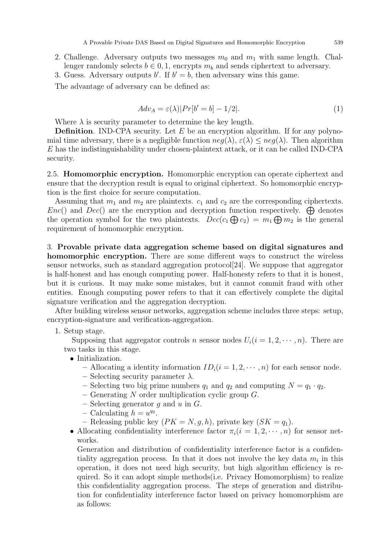2. Challenge. Adversary outputs two messages  $m_0$  and  $m_1$  with same length. Challenger randomly selects  $b \in 0, 1$ , encrypts  $m_b$  and sends ciphertext to adversary.

3. Guess. Adversary outputs b'. If  $b' = b$ , then adversary wins this game.

The advantage of adversary can be defined as:

$$
Adv_A = \varepsilon(\lambda)|Pr[b' = b] - 1/2|.
$$
\n(1)

Where  $\lambda$  is security parameter to determine the key length.

**Definition.** IND-CPA security. Let  $E$  be an encryption algorithm. If for any polynomial time adversary, there is a negligible function  $neg(\lambda)$ ,  $\varepsilon(\lambda) \leq neg(\lambda)$ . Then algorithm E has the indistinguishability under chosen-plaintext attack, or it can be called IND-CPA security.

2.5. Homomorphic encryption. Homomorphic encryption can operate ciphertext and ensure that the decryption result is equal to original ciphertext. So homomorphic encryption is the first choice for secure computation.

Assuming that  $m_1$  and  $m_2$  are plaintexts.  $c_1$  and  $c_2$  are the corresponding ciphertexts.  $Enc()$  and  $Dec()$  are the encryption and decryption function respectively.  $\bigoplus$  denotes the operation symbol for the two plaintexts.  $Dec(c_1 \bigoplus c_2) = m_1 \bigoplus m_2$  is the general requirement of homomorphic encryption.

3. Provable private data aggregation scheme based on digital signatures and homomorphic encryption. There are some different ways to construct the wireless sensor networks, such as standard aggregation protocol[24]. We suppose that aggregator is half-honest and has enough computing power. Half-honesty refers to that it is honest, but it is curious. It may make some mistakes, but it cannot commit fraud with other entities. Enough computing power refers to that it can effectively complete the digital signature verification and the aggregation decryption.

After building wireless sensor networks, aggregation scheme includes three steps: setup, encryption-signature and verification-aggregation.

1. Setup stage.

Supposing that aggregator controls n sensor nodes  $U_i(i = 1, 2, \dots, n)$ . There are two tasks in this stage.

- Initialization.
	- Allocating a identity information  $ID_i(i = 1, 2, \dots, n)$  for each sensor node.
	- Selecting security parameter  $\lambda$ .
	- Selecting two big prime numbers  $q_1$  and  $q_2$  and computing  $N = q_1 \cdot q_2$ .
	- Generating  $N$  order multiplication cyclic group  $G$ .
	- Selecting generator q and  $u$  in  $G$ .
	- Calculating  $h = u^{q_2}$ .
	- Releasing public key  $(PK = N, g, h)$ , private key  $(SK = q_1)$ .
- Allocating confidentiality interference factor  $\pi_i(i = 1, 2, \dots, n)$  for sensor networks.

Generation and distribution of confidentiality interference factor is a confidentiality aggregation process. In that it does not involve the key data  $m_i$  in this operation, it does not need high security, but high algorithm efficiency is required. So it can adopt simple methods(i.e. Privacy Homomorphism) to realize this confidentiality aggregation process. The steps of generation and distribution for confidentiality interference factor based on privacy homomorphism are as follows: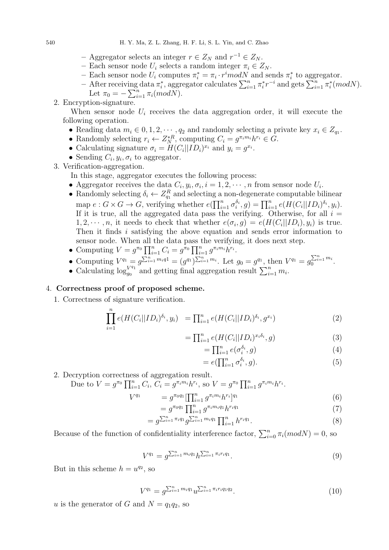- Aggregator selects an integer  $r \in Z_N$  and  $r^{-1} \in Z_N$ .
- Each sensor node  $U_i$  selects a random integer  $\pi_i \in Z_N$ .
- Each sensor node  $U_i$  computes  $\pi_i^* = \pi_i \cdot r^i mod N$  and sends  $\pi_i^*$  to aggregator.
- After receiving data  $\pi_i^*$ , aggregator calculates  $\sum_{i=1}^n \pi_i^* r^{-i}$  and gets  $\sum_{i=1}^n \pi_i^* (mod N)$ . Let  $\pi_0 = -\sum_{i=1}^n \pi_i (mod N)$ .
- 2. Encryption-signature.

When sensor node  $U_i$  receives the data aggregation order, it will execute the following operation.

- Reading data  $m_i \in {0, 1, 2, \cdots, q_2}$  and randomly selecting a private key  $x_i \in Z_{q_1}$ .
- Randomly selecting  $r_i \leftarrow Z_N^{*R}$ , computing  $C_i = g^{\pi_i m_i} h^{r_i} \in G$ .
- Calculating signature  $\sigma_i = H(C_i || ID_i)^{x_i}$  and  $y_i = g^{x_i}$ .
- Sending  $C_i, y_i, \sigma_i$  to aggregator.
- 3. Verification-aggregation.

In this stage, aggregator executes the following process:

- Aggregator receives the data  $C_i, y_i, \sigma_i, i = 1, 2, \cdots, n$  from sensor node  $U_i$ .
- Randomly selecting  $\delta_i \leftarrow Z_{q_1}^R$  and selecting a non-degenerate computable bilinear map  $e: G \times G \to G$ , verifying whether  $e(\prod_{i=1}^n \sigma_i^{\delta_i}, g) = \prod_{i=1}^n e(H(C_i||ID_i)^{\delta_i}, y_i)$ . If it is true, all the aggregated data pass the verifying. Otherwise, for all  $i =$  $1, 2, \dots, n$ , it needs to check that whether  $e(\sigma_i, g) = e(H(C_i||ID_i), y_i)$  is true. Then it finds i satisfying the above equation and sends error information to sensor node. When all the data pass the verifying, it does next step.
- Computing  $V = g^{\pi_0} \prod_{i=1}^n C_i = g^{\pi_0} \prod_{i=1}^n g^{\pi_i m_i} h^{r_i}$ .
- Computing  $V^{q_1} = g^{\sum_{i=1}^n m_i q_1} = (g^{q_1})^{\sum_{i=1}^n m_i}$ . Let  $g_0 = g^{q_1}$ , then  $V^{q_1} = g_0^{\sum_{i=1}^n m_i}$ .
- Calculating  $\log_{a_0}^{V^{q_1}}$  $\int_{g_0}^{V^{q_1}}$  and getting final aggregation result  $\sum_{i=1}^n m_i$ .

## 4. Correctness proof of proposed scheme.

1. Correctness of signature verification.

$$
\prod_{i=1}^{n} e(H(C_i||ID_i)^{\delta_i}, y_i) = \prod_{i=1}^{n} e(H(C_i||ID_i)^{\delta_i}, g^{x_i})
$$
\n(2)

$$
= \prod_{i=1}^{n} e(H(C_i||ID_i)^{x_i \delta_i}, g)
$$
\n(3)

$$
= \prod_{i=1}^{n} e(\sigma_i^{\delta_i}, g) \tag{4}
$$

$$
=e(\prod_{i=1}^{n}\sigma_i^{\delta_i},g). \tag{5}
$$

2. Decryption correctness of aggregation result.

Due to 
$$
V = g^{\pi_0} \prod_{i=1}^n C_i
$$
,  $\widetilde{C}_i = g^{\pi_i m_i} h^{r_i}$ , so  $V = g^{\pi_0} \prod_{i=1}^n g^{\pi_i m_i} h^{r_i}$ .

=

$$
V^{q_1} = g^{\pi_0 q_1} \left[ \prod_{i=1}^n g^{\pi_i m_i} h^{r_i} \right]^{q_1} \tag{6}
$$

$$
= g^{\pi_0 q_1} \prod_{i=1}^n g^{\pi_i m_i q_1} h^{r_i q_1} \tag{7}
$$

$$
= g^{\sum_{i=1}^{n} \pi_i q_1} g^{\sum_{i=1}^{n} m_i q_1} \prod_{i=1}^{n} h^{r_i q_1}.
$$
 (8)

Because of the function of confidentiality interference factor,  $\sum_{i=0}^{n} \pi_i (mod N) = 0$ , so

$$
V^{q_1} = g^{\sum_{i=1}^n m_i q_1} h^{\sum_{i=1}^n \pi_i r_i q_1}.
$$
\n(9)

But in this scheme  $h = u^{q_2}$ , so

$$
V^{q_1} = g^{\sum_{i=1}^n m_i q_1} u^{\sum_{i=1}^n \pi_i r_i q_1 q_2}.
$$
\n(10)

u is the generator of G and  $N = q_1 q_2$ , so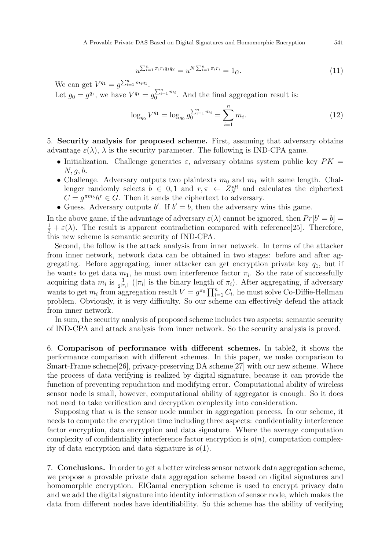$$
u^{\sum_{i=1}^{n} \pi_i r_i q_1 q_2} = u^{N \sum_{i=1}^{n} \pi_i r_i} = 1_G. \tag{11}
$$

We can get  $V^{q_1} = g^{\sum_{i=1}^n m_i q_1}$ .

Let  $g_0 = g^{q_1}$ , we have  $V^{q_1} = g_0^{\sum_{i=1}^n m_i}$ . And the final aggregation result is:

$$
\log_{g_0} V^{q_1} = \log_{g_0} g_0^{\sum_{i=1}^n m_i} = \sum_{i=1}^n m_i.
$$
 (12)

5. Security analysis for proposed scheme. First, assuming that adversary obtains advantage  $\varepsilon(\lambda)$ ,  $\lambda$  is the security parameter. The following is IND-CPA game.

- Initialization. Challenge generates  $\varepsilon$ , adversary obtains system public key  $PK =$  $N, q, h.$
- Challenge. Adversary outputs two plaintexts  $m_0$  and  $m_1$  with same length. Challenger randomly selects  $b \in 0, 1$  and  $r, \pi \leftarrow Z_N^{*R}$  and calculates the ciphertext  $C = g^{\pi m_b} h^r \in G$ . Then it sends the ciphertext to adversary.
- Guess. Adversary outputs b'. If  $b' = b$ , then the adversary wins this game.

In the above game, if the advantage of adversary  $\varepsilon(\lambda)$  cannot be ignored, then  $Pr[b' = b] =$  $\frac{1}{2} + \varepsilon(\lambda)$ . The result is apparent contradiction compared with reference[25]. Therefore, this new scheme is semantic security of IND-CPA.

Second, the follow is the attack analysis from inner network. In terms of the attacker from inner network, network data can be obtained in two stages: before and after aggregating. Before aggregating, inner attacker can get encryption private key  $q_1$ , but if he wants to get data  $m_1$ , he must own interference factor  $\pi_i$ . So the rate of successfully acquiring data  $m_i$  is  $\frac{1}{2^{|\pi_i|}}$  ( $|\pi_i|$  is the binary length of  $\pi_i$ ). After aggregating, if adversary wants to get  $m_i$  from aggregation result  $V = g^{\pi_0} \prod_{i=1}^n C_i$ , he must solve Co-Diffie-Hellman problem. Obviously, it is very difficulty. So our scheme can effectively defend the attack from inner network.

In sum, the security analysis of proposed scheme includes two aspects: semantic security of IND-CPA and attack analysis from inner network. So the security analysis is proved.

6. Comparison of performance with different schemes. In table2, it shows the performance comparison with different schemes. In this paper, we make comparison to Smart-Frame scheme[26], privacy-preserving DA scheme[27] with our new scheme. Where the process of data verifying is realized by digital signature, because it can provide the function of preventing repudiation and modifying error. Computational ability of wireless sensor node is small, however, computational ability of aggregator is enough. So it does not need to take verification and decryption complexity into consideration.

Supposing that  $n$  is the sensor node number in aggregation process. In our scheme, it needs to compute the encryption time including three aspects: confidentiality interference factor encryption, data encryption and data signature. Where the average computation complexity of confidentiality interference factor encryption is  $o(n)$ , computation complexity of data encryption and data signature is  $o(1)$ .

7. Conclusions. In order to get a better wireless sensor network data aggregation scheme, we propose a provable private data aggregation scheme based on digital signatures and homomorphic encryption. ElGamal encryption scheme is used to encrypt privacy data and we add the digital signature into identity information of sensor node, which makes the data from different nodes have identifiability. So this scheme has the ability of verifying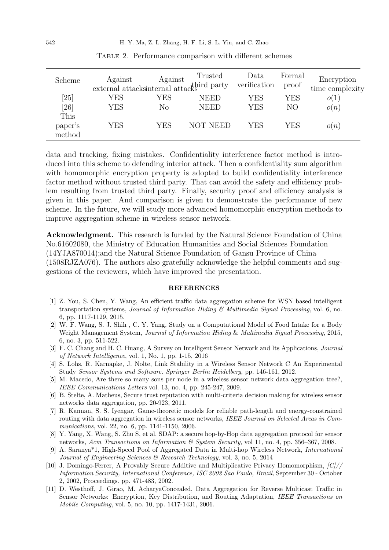| Scheme  | Against<br>external attacks<br>internal attacks at party | Against | Trusted         | Data<br>verification | Formal<br>proof | Encryption<br>time complexity |
|---------|----------------------------------------------------------|---------|-----------------|----------------------|-----------------|-------------------------------|
| [25]    | YES                                                      | YES     | <b>NEED</b>     | YES                  | YES             | o(1)                          |
| [26]    | YES                                                      | No      | <b>NEED</b>     | <b>YES</b>           | NO              | o(n)                          |
| This    |                                                          |         |                 |                      |                 |                               |
| paper's | YES                                                      | YES     | <b>NOT NEED</b> | YES                  | YES             | o(n)                          |
| method  |                                                          |         |                 |                      |                 |                               |

Table 2. Performance comparison with different schemes

data and tracking, fixing mistakes. Confidentiality interference factor method is introduced into this scheme to defending interior attack. Then a confidentiality sum algorithm with homomorphic encryption property is adopted to build confidentiality interference factor method without trusted third party. That can avoid the safety and efficiency problem resulting from trusted third party. Finally, security proof and efficiency analysis is given in this paper. And comparison is given to demonstrate the performance of new scheme. In the future, we will study more advanced homomorphic encryption methods to improve aggregation scheme in wireless sensor network.

Acknowledgment. This research is funded by the Natural Science Foundation of China No.61602080, the Ministry of Education Humanities and Social Sciences Foundation (14YJA870014);and the Natural Science Foundation of Gansu Province of China (1508RJZA076). The authors also gratefully acknowledge the helpful comments and suggestions of the reviewers, which have improved the presentation.

## REFERENCES

- [1] Z. You, S. Chen, Y. Wang, An efficient traffic data aggregation scheme for WSN based intelligent transportation systems, Journal of Information Hiding  $\mathcal C$  Multimedia Signal Processing, vol. 6, no. 6, pp. 1117-1129, 2015.
- [2] W. F. Wang, S. J. Shih , C. Y. Yang, Study on a Computational Model of Food Intake for a Body Weight Management System, Journal of Information Hiding & Multimedia Signal Processing, 2015, 6, no. 3, pp. 511-522.
- [3] F. C. Chang and H. C. Huang, A Survey on Intelligent Sensor Network and Its Applications, Journal of Network Intelligence, vol. 1, No. 1, pp. 1-15, 2016
- [4] S. Lohs, R. Karnapke, J. Nolte, Link Stability in a Wireless Sensor Network C An Experimental Study Sensor Systems and Software. Springer Berlin Heidelberg, pp. 146-161, 2012.
- [5] M. Macedo, Are there so many sons per node in a wireless sensor network data aggregation tree?, IEEE Communications Letters vol. 13, no. 4, pp. 245-247, 2009.
- [6] B. Stelte, A. Matheus, Secure trust reputation with multi-criteria decision making for wireless sensor networks data aggregation, pp. 20-923, 2011.
- [7] R. Kannan, S. S. Iyengar, Game-theoretic models for reliable path-length and energy-constrained routing with data aggregation in wireless sensor networks, IEEE Journal on Selected Areas in Communications, vol. 22, no. 6, pp. 1141-1150, 2006.
- [8] Y. Yang, X. Wang, S. Zhu S, et al. SDAP: a secure hop-by-Hop data aggregation protocol for sensor networks, Acm Transactions on Information & System Security, vol 11, no. 4, pp. 356–367, 2008.
- [9] A. Saranya\*1, High-Speed Pool of Aggregated Data in Multi-hop Wireless Network, International Journal of Engineering Sciences & Research Technology, vol. 3, no. 5, 2014
- [10] J. Domingo-Ferrer, A Provably Secure Additive and Multiplicative Privacy Homomorphism, [C]// Information Security, International Conference, ISC 2002 Sao Paulo, Brazil, September 30 - October 2, 2002, Proceedings. pp. 471-483, 2002.
- [11] D. Westhoff, J. Girao, M. AcharyaConcealed, Data Aggregation for Reverse Multicast Traffic in Sensor Networks: Encryption, Key Distribution, and Routing Adaptation, IEEE Transactions on Mobile Computing, vol. 5, no. 10, pp. 1417-1431, 2006.